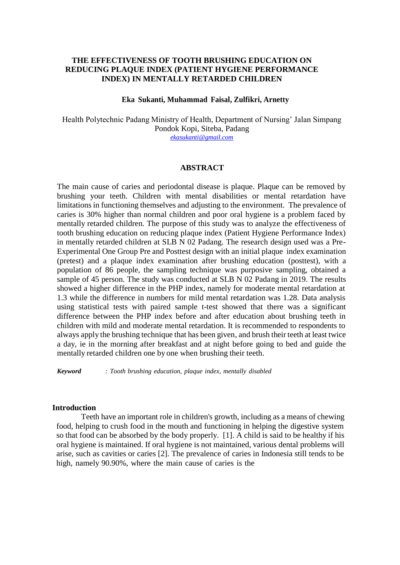# **THE EFFECTIVENESS OF TOOTH BRUSHING EDUCATION ON REDUCING PLAQUE INDEX (PATIENT HYGIENE PERFORMANCE INDEX) IN MENTALLY RETARDED CHILDREN**

## **Eka Sukanti, Muhammad Faisal, Zulfikri, Arnetty**

Health Polytechnic Padang Ministry of Health, Department of Nursing' Jalan Simpang Pondok Kopi, Siteba, Padang *[ekasukanti@gmail.com](mailto:ekasukanti@gmail.com)*

## **ABSTRACT**

The main cause of caries and periodontal disease is plaque. Plaque can be removed by brushing your teeth. Children with mental disabilities or mental retardation have limitations in functioning themselves and adjusting to the environment. The prevalence of caries is 30% higher than normal children and poor oral hygiene is a problem faced by mentally retarded children. The purpose of this study was to analyze the effectiveness of tooth brushing education on reducing plaque index (Patient Hygiene Performance Index) in mentally retarded children at SLB N 02 Padang. The research design used was a Pre-Experimental One Group Pre and Posttest design with an initial plaque index examination (pretest) and a plaque index examination after brushing education (posttest), with a population of 86 people, the sampling technique was purposive sampling, obtained a sample of 45 person. The study was conducted at SLB N 02 Padang in 2019. The results showed a higher difference in the PHP index, namely for moderate mental retardation at 1.3 while the difference in numbers for mild mental retardation was 1.28. Data analysis using statistical tests with paired sample t-test showed that there was a significant difference between the PHP index before and after education about brushing teeth in children with mild and moderate mental retardation. It is recommended to respondents to always apply the brushing technique that has been given, and brush their teeth at least twice a day, ie in the morning after breakfast and at night before going to bed and guide the mentally retarded children one by one when brushing their teeth.

*Keyword : Tooth brushing education, plaque index, mentally disabled*

# **Introduction**

Teeth have an important role in children's growth, including as a means of chewing food, helping to crush food in the mouth and functioning in helping the digestive system so that food can be absorbed by the body properly. [1]. A child is said to be healthy if his oral hygiene is maintained. If oral hygiene is not maintained, various dental problems will arise, such as cavities or caries [2]. The prevalence of caries in Indonesia still tends to be high, namely 90.90%, where the main cause of caries is the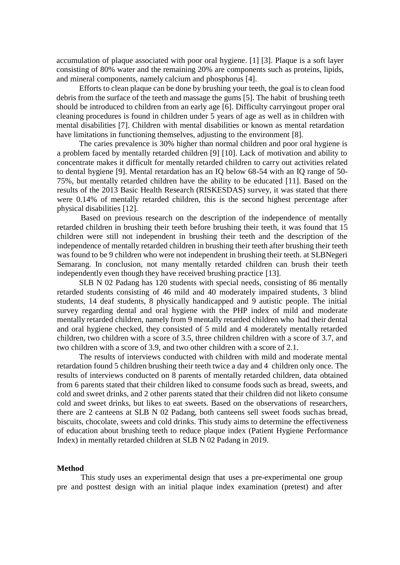accumulation of plaque associated with poor oral hygiene. [1] [3]. Plaque is a soft layer consisting of 80% water and the remaining 20% are components such as proteins, lipids, and mineral components, namely calcium and phosphorus [4].

Efforts to clean plaque can be done by brushing your teeth, the goal is to clean food debris from the surface of the teeth and massage the gums [5]. The habit of brushing teeth should be introduced to children from an early age [6]. Difficulty carryingout proper oral cleaning procedures is found in children under 5 years of age as well as in children with mental disabilities [7]. Children with mental disabilities or known as mental retardation have limitations in functioning themselves, adjusting to the environment [8].

The caries prevalence is 30% higher than normal children and poor oral hygiene is a problem faced by mentally retarded children [9] [10]. Lack of motivation and ability to concentrate makes it difficult for mentally retarded children to carry out activities related to dental hygiene [9]. Mental retardation has an IQ below 68-54 with an IQ range of 50- 75%, but mentally retarded children have the ability to be educated [11]. Based on the results of the 2013 Basic Health Research (RISKESDAS) survey, it was stated that there were 0.14% of mentally retarded children, this is the second highest percentage after physical disabilities [12].

Based on previous research on the description of the independence of mentally retarded children in brushing their teeth before brushing their teeth, it was found that 15 children were still not independent in brushing their teeth and the description of the independence of mentally retarded children in brushing their teeth after brushing their teeth was found to be 9 children who were not independent in brushing their teeth. at SLBNegeri Semarang. In conclusion, not many mentally retarded children can brush their teeth independently even though they have received brushing practice [13].

SLB N 02 Padang has 120 students with special needs, consisting of 86 mentally retarded students consisting of 46 mild and 40 moderately impaired students, 3 blind students, 14 deaf students, 8 physically handicapped and 9 autistic people. The initial survey regarding dental and oral hygiene with the PHP index of mild and moderate mentally retarded children, namely from 9 mentally retarded children who had their dental and oral hygiene checked, they consisted of 5 mild and 4 moderately mentally retarded children, two children with a score of 3.5, three children children with a score of 3.7, and two children with a score of 3.9, and two other children with a score of 2.1.

The results of interviews conducted with children with mild and moderate mental retardation found 5 children brushing their teeth twice a day and 4 children only once. The results of interviews conducted on 8 parents of mentally retarded children, data obtained from 6 parents stated that their children liked to consume foods such as bread, sweets, and cold and sweet drinks, and 2 other parents stated that their children did not liketo consume cold and sweet drinks, but likes to eat sweets. Based on the observations of researchers, there are 2 canteens at SLB N 02 Padang, both canteens sell sweet foods suchas bread, biscuits, chocolate, sweets and cold drinks. This study aims to determine the effectiveness of education about brushing teeth to reduce plaque index (Patient Hygiene Performance Index) in mentally retarded children at SLB N 02 Padang in 2019.

#### **Method**

This study uses an experimental design that uses a pre-experimental one group pre and posttest design with an initial plaque index examination (pretest) and after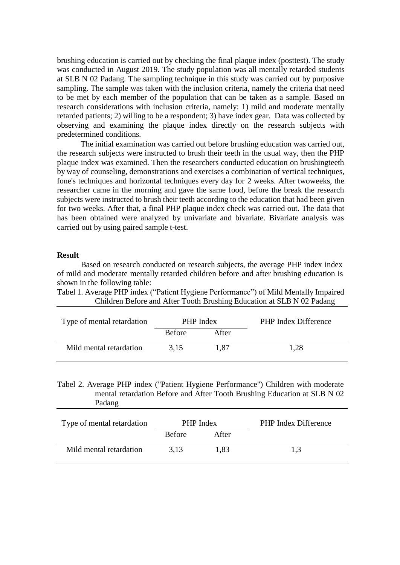brushing education is carried out by checking the final plaque index (posttest). The study was conducted in August 2019. The study population was all mentally retarded students at SLB N 02 Padang. The sampling technique in this study was carried out by purposive sampling. The sample was taken with the inclusion criteria, namely the criteria that need to be met by each member of the population that can be taken as a sample. Based on research considerations with inclusion criteria, namely: 1) mild and moderate mentally retarded patients; 2) willing to be a respondent; 3) have index gear. Data was collected by observing and examining the plaque index directly on the research subjects with predetermined conditions.

The initial examination was carried out before brushing education was carried out, the research subjects were instructed to brush their teeth in the usual way, then the PHP plaque index was examined. Then the researchers conducted education on brushingteeth by way of counseling, demonstrations and exercises a combination of vertical techniques, fone's techniques and horizontal techniques every day for 2 weeks. After twoweeks, the researcher came in the morning and gave the same food, before the break the research subjects were instructed to brush their teeth according to the education that had been given for two weeks. After that, a final PHP plaque index check was carried out. The data that has been obtained were analyzed by univariate and bivariate. Bivariate analysis was carried out by using paired sample t-test.

## **Result**

Based on research conducted on research subjects, the average PHP index index of mild and moderate mentally retarded children before and after brushing education is shown in the following table:

Tabel 1. Average PHP index ("Patient Hygiene Performance") of Mild Mentally Impaired Children Before and After Tooth Brushing Education at SLB N 02 Padang

| Type of mental retardation | <b>PHP</b> Index |       | <b>PHP</b> Index Difference |
|----------------------------|------------------|-------|-----------------------------|
|                            | <b>Before</b>    | After |                             |
| Mild mental retardation    | 3.15             | 1.87  | 1,28                        |

Tabel 2. Average PHP index ("Patient Hygiene Performance") Children with moderate mental retardation Before and After Tooth Brushing Education at SLB N 02 Padang

| Type of mental retardation | <b>PHP</b> Index |       | <b>PHP</b> Index Difference |
|----------------------------|------------------|-------|-----------------------------|
|                            | <b>Before</b>    | After |                             |
| Mild mental retardation    | 3.13             | 1.83  | 1.3                         |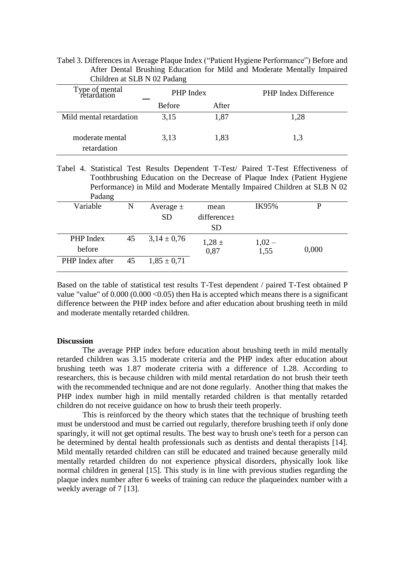Tabel 3. Differences in Average Plaque Index ("Patient Hygiene Performance") Before and After Dental Brushing Education for Mild and Moderate Mentally Impaired Children at SLB N 02 Padang

| Type of mental<br>retardation  | PHP Index     |       | <b>PHP Index Difference</b> |
|--------------------------------|---------------|-------|-----------------------------|
|                                | <b>Before</b> | After |                             |
| Mild mental retardation        | 3.15          | 1,87  | 1,28                        |
| moderate mental<br>retardation | 3.13          | 1,83  | 1.3                         |

Tabel 4. Statistical Test Results Dependent T-Test/ Paired T-Test Effectiveness of Toothbrushing Education on the Decrease of Plaque Index (Patient Hygiene Performance) in Mild and Moderate Mentally Impaired Children at SLB N 02 Padang

| . <u>.</u> .    |    |                 |                  |             |       |  |
|-----------------|----|-----------------|------------------|-------------|-------|--|
| Variable        | N  | Average $\pm$   | mean             | IK95%       | D     |  |
|                 |    | <b>SD</b>       | difference $\pm$ |             |       |  |
|                 |    |                 | <b>SD</b>        |             |       |  |
| PHP Index       | 45 | $3,14 \pm 0,76$ | $1,28 \pm$       |             |       |  |
| before          |    |                 | 0,87             | $1,02-1,55$ | 0,000 |  |
| PHP Index after | 45 | $1,85 \pm 0,71$ |                  |             |       |  |
|                 |    |                 |                  |             |       |  |

Based on the table of statistical test results T-Test dependent / paired T-Test obtained P value "value" of  $0.000 (0.000 \le 0.05)$  then Ha is accepted which means there is a significant difference between the PHP index before and after education about brushing teeth in mild and moderate mentally retarded children.

## **Discussion**

The average PHP index before education about brushing teeth in mild mentally retarded children was 3.15 moderate criteria and the PHP index after education about brushing teeth was 1.87 moderate criteria with a difference of 1.28. According to researchers, this is because children with mild mental retardation do not brush their teeth with the recommended technique and are not done regularly. Another thing that makes the PHP index number high in mild mentally retarded children is that mentally retarded children do not receive guidance on how to brush their teeth properly.

This is reinforced by the theory which states that the technique of brushing teeth must be understood and must be carried out regularly, therefore brushing teeth if only done sparingly, it will not get optimal results. The best way to brush one's teeth for a person can be determined by dental health professionals such as dentists and dental therapists [14]. Mild mentally retarded children can still be educated and trained because generally mild mentally retarded children do not experience physical disorders, physically look like normal children in general [15]. This study is in line with previous studies regarding the plaque index number after 6 weeks of training can reduce the plaqueindex number with a weekly average of 7 [13].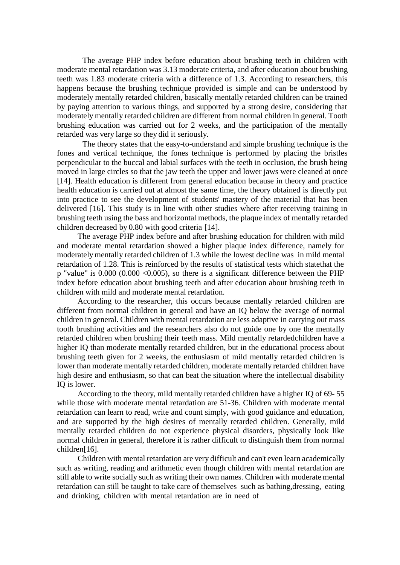The average PHP index before education about brushing teeth in children with moderate mental retardation was 3.13 moderate criteria, and after education about brushing teeth was 1.83 moderate criteria with a difference of 1.3. According to researchers, this happens because the brushing technique provided is simple and can be understood by moderately mentally retarded children, basically mentally retarded children can be trained by paying attention to various things, and supported by a strong desire, considering that moderately mentally retarded children are different from normal children in general. Tooth brushing education was carried out for 2 weeks, and the participation of the mentally retarded was very large so they did it seriously.

The theory states that the easy-to-understand and simple brushing technique is the fones and vertical technique, the fones technique is performed by placing the bristles perpendicular to the buccal and labial surfaces with the teeth in occlusion, the brush being moved in large circles so that the jaw teeth the upper and lower jaws were cleaned at once [14]. Health education is different from general education because in theory and practice health education is carried out at almost the same time, the theory obtained is directly put into practice to see the development of students' mastery of the material that has been delivered [16]. This study is in line with other studies where after receiving training in brushing teeth using the bass and horizontal methods, the plaque index of mentally retarded children decreased by 0.80 with good criteria [14].

The average PHP index before and after brushing education for children with mild and moderate mental retardation showed a higher plaque index difference, namely for moderately mentally retarded children of 1.3 while the lowest decline was in mild mental retardation of 1.28. This is reinforced by the results of statistical tests which statethat the p "value" is 0.000 (0.000 <0.005), so there is a significant difference between the PHP index before education about brushing teeth and after education about brushing teeth in children with mild and moderate mental retardation.

According to the researcher, this occurs because mentally retarded children are different from normal children in general and have an IQ below the average of normal children in general. Children with mental retardation are less adaptive in carrying out mass tooth brushing activities and the researchers also do not guide one by one the mentally retarded children when brushing their teeth mass. Mild mentally retardedchildren have a higher IQ than moderate mentally retarded children, but in the educational process about brushing teeth given for 2 weeks, the enthusiasm of mild mentally retarded children is lower than moderate mentally retarded children, moderate mentally retarded children have high desire and enthusiasm, so that can beat the situation where the intellectual disability IQ is lower.

According to the theory, mild mentally retarded children have a higher IQ of 69- 55 while those with moderate mental retardation are 51-36. Children with moderate mental retardation can learn to read, write and count simply, with good guidance and education, and are supported by the high desires of mentally retarded children. Generally, mild mentally retarded children do not experience physical disorders, physically look like normal children in general, therefore it is rather difficult to distinguish them from normal children[16].

Children with mental retardation are very difficult and can't even learn academically such as writing, reading and arithmetic even though children with mental retardation are still able to write socially such as writing their own names. Children with moderate mental retardation can still be taught to take care of themselves such as bathing,dressing, eating and drinking, children with mental retardation are in need of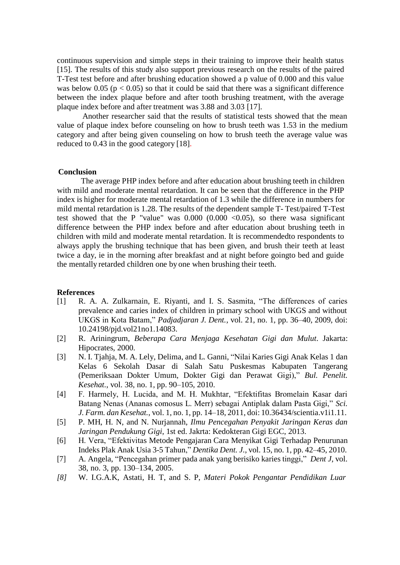continuous supervision and simple steps in their training to improve their health status [15]. The results of this study also support previous research on the results of the paired T-Test test before and after brushing education showed a p value of 0.000 and this value was below 0.05 ( $p < 0.05$ ) so that it could be said that there was a significant difference between the index plaque before and after tooth brushing treatment, with the average plaque index before and after treatment was 3.88 and 3.03 [17].

Another researcher said that the results of statistical tests showed that the mean value of plaque index before counseling on how to brush teeth was 1.53 in the medium category and after being given counseling on how to brush teeth the average value was reduced to 0.43 in the good category [18].

## **Conclusion**

The average PHP index before and after education about brushing teeth in children with mild and moderate mental retardation. It can be seen that the difference in the PHP index is higher for moderate mental retardation of 1.3 while the difference in numbers for mild mental retardation is 1.28. The results of the dependent sample T- Test/paired T-Test test showed that the P "value" was  $0.000$   $(0.000 < 0.05)$ , so there wasa significant difference between the PHP index before and after education about brushing teeth in children with mild and moderate mental retardation. It is recommendedto respondents to always apply the brushing technique that has been given, and brush their teeth at least twice a day, ie in the morning after breakfast and at night before goingto bed and guide the mentally retarded children one by one when brushing their teeth.

# **References**

- [1] R. A. A. Zulkarnain, E. Riyanti, and I. S. Sasmita, "The differences of caries prevalence and caries index of children in primary school with UKGS and without UKGS in Kota Batam," *Padjadjaran J. Dent.*, vol. 21, no. 1, pp. 36–40, 2009, doi: 10.24198/pjd.vol21no1.14083.
- [2] R. Ariningrum, *Beberapa Cara Menjaga Kesehatan Gigi dan Mulut*. Jakarta: Hipocrates, 2000.
- [3] N. I. Tjahja, M. A. Lely, Delima, and L. Ganni, "Nilai Karies Gigi Anak Kelas 1 dan Kelas 6 Sekolah Dasar di Salah Satu Puskesmas Kabupaten Tangerang (Pemeriksaan Dokter Umum, Dokter Gigi dan Perawat Gigi)," *Bul. Penelit. Kesehat.*, vol. 38, no. 1, pp. 90–105, 2010.
- [4] F. Harmely, H. Lucida, and M. H. Mukhtar, "Efektifitas Bromelain Kasar dari Batang Nenas (Ananas comosus L. Merr) sebagai Antiplak dalam Pasta Gigi," *Sci. J. Farm. dan Kesehat.*, vol. 1, no. 1, pp. 14–18, 2011, doi: 10.36434/scientia.v1i1.11.
- [5] P. MH, H. N, and N. Nurjannah, *Ilmu Pencegahan Penyakit Jaringan Keras dan Jaringan Pendukung Gigi*, 1st ed. Jakrta: Kedokteran Gigi EGC, 2013.
- [6] H. Vera, "Efektivitas Metode Pengajaran Cara Menyikat Gigi Terhadap Penurunan Indeks Plak Anak Usia 3-5 Tahun," *Dentika Dent. J.*, vol. 15, no. 1, pp. 42–45, 2010.
- [7] A. Angela, "Pencegahan primer pada anak yang berisiko karies tinggi," *Dent J*, vol. 38, no. 3, pp. 130–134, 2005.
- *[8]* W. I.G.A.K, Astati, H. T, and S. P, *Materi Pokok Pengantar Pendidikan Luar*